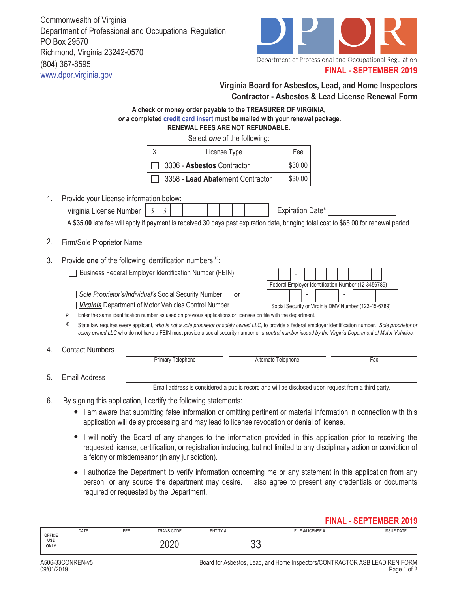Commonwealth of Virginia Department of Professional and Occupational Regulation PO Box 29570 Richmond, Virginia 23242-0570 (804) 367-8595 www.dpor.virginia.gov



## **FINAL - SEPTEMBER 2019**

|    | Virginia Board for Asbestos, Lead, and Home Inspectors<br><b>Contractor - Asbestos &amp; Lead License Renewal Form</b>                                                                                                                                                                                                                                                                                                                                                                                                                                                                                                                                                                                                                                                                                              |  |  |  |  |  |  |
|----|---------------------------------------------------------------------------------------------------------------------------------------------------------------------------------------------------------------------------------------------------------------------------------------------------------------------------------------------------------------------------------------------------------------------------------------------------------------------------------------------------------------------------------------------------------------------------------------------------------------------------------------------------------------------------------------------------------------------------------------------------------------------------------------------------------------------|--|--|--|--|--|--|
|    | A check or money order payable to the <b>TREASURER OF VIRGINIA</b> ,<br>or a completed credit card insert must be mailed with your renewal package.<br><b>RENEWAL FEES ARE NOT REFUNDABLE.</b>                                                                                                                                                                                                                                                                                                                                                                                                                                                                                                                                                                                                                      |  |  |  |  |  |  |
|    | Select one of the following:                                                                                                                                                                                                                                                                                                                                                                                                                                                                                                                                                                                                                                                                                                                                                                                        |  |  |  |  |  |  |
|    | Fee<br>X<br>License Type                                                                                                                                                                                                                                                                                                                                                                                                                                                                                                                                                                                                                                                                                                                                                                                            |  |  |  |  |  |  |
|    | 3306 - Asbestos Contractor<br>\$30.00                                                                                                                                                                                                                                                                                                                                                                                                                                                                                                                                                                                                                                                                                                                                                                               |  |  |  |  |  |  |
|    | \$30.00<br>3358 - Lead Abatement Contractor                                                                                                                                                                                                                                                                                                                                                                                                                                                                                                                                                                                                                                                                                                                                                                         |  |  |  |  |  |  |
| 1. | Provide your License information below:<br>Expiration Date*<br>Virginia License Number<br>3<br>3<br>A \$35.00 late fee will apply if payment is received 30 days past expiration date, bringing total cost to \$65.00 for renewal period.                                                                                                                                                                                                                                                                                                                                                                                                                                                                                                                                                                           |  |  |  |  |  |  |
| 2. | Firm/Sole Proprietor Name                                                                                                                                                                                                                                                                                                                                                                                                                                                                                                                                                                                                                                                                                                                                                                                           |  |  |  |  |  |  |
| 3. | Provide one of the following identification numbers*:<br><b>Business Federal Employer Identification Number (FEIN)</b><br>Federal Employer Identification Number (12-3456789)<br>Sole Proprietor's/Individual's Social Security Number<br>or<br>Virginia Department of Motor Vehicles Control Number<br>Social Security or Virginia DMV Number (123-45-6789)<br>Enter the same identification number as used on previous applications or licenses on file with the department.<br>⋗<br>⋇<br>State law requires every applicant, who is not a sole proprietor or solely owned LLC, to provide a federal employer identification number. Sole proprietor or<br>solely owned LLC who do not have a FEIN must provide a social security number or a control number issued by the Virginia Department of Motor Vehicles. |  |  |  |  |  |  |
| 4. | <b>Contact Numbers</b><br><b>Primary Telephone</b><br>Alternate Telephone<br>Fax                                                                                                                                                                                                                                                                                                                                                                                                                                                                                                                                                                                                                                                                                                                                    |  |  |  |  |  |  |
| 5. | <b>Email Address</b>                                                                                                                                                                                                                                                                                                                                                                                                                                                                                                                                                                                                                                                                                                                                                                                                |  |  |  |  |  |  |
|    | Email address is considered a public record and will be disclosed upon request from a third party.                                                                                                                                                                                                                                                                                                                                                                                                                                                                                                                                                                                                                                                                                                                  |  |  |  |  |  |  |
| 6. | By signing this application, I certify the following statements:<br>I am aware that submitting false information or omitting pertinent or material information in connection with this<br>application will delay processing and may lead to license revocation or denial of license.                                                                                                                                                                                                                                                                                                                                                                                                                                                                                                                                |  |  |  |  |  |  |
|    | I will notify the Board of any changes to the information provided in this application prior to receiving the<br>requested license, certification, or registration including, but not limited to any disciplinary action or conviction of<br>a felony or misdemeanor (in any jurisdiction).                                                                                                                                                                                                                                                                                                                                                                                                                                                                                                                         |  |  |  |  |  |  |

• I authorize the Department to verify information concerning me or any statement in this application from any person, or any source the department may desire. I also agree to present any credentials or documents required or requested by the Department.

## **FINAL - SEPTEMBER 2019**

| <b>OFFICE</b><br>USE<br>ONLY | DATE | $---$<br>FEE | TRANS CODE   | ENTITY# | FILE #/LICENSE # | <b>ISSUE DATE</b> |
|------------------------------|------|--------------|--------------|---------|------------------|-------------------|
|                              |      |              | nnnn<br>∟∪∟∪ |         | n n<br>◡◡        |                   |